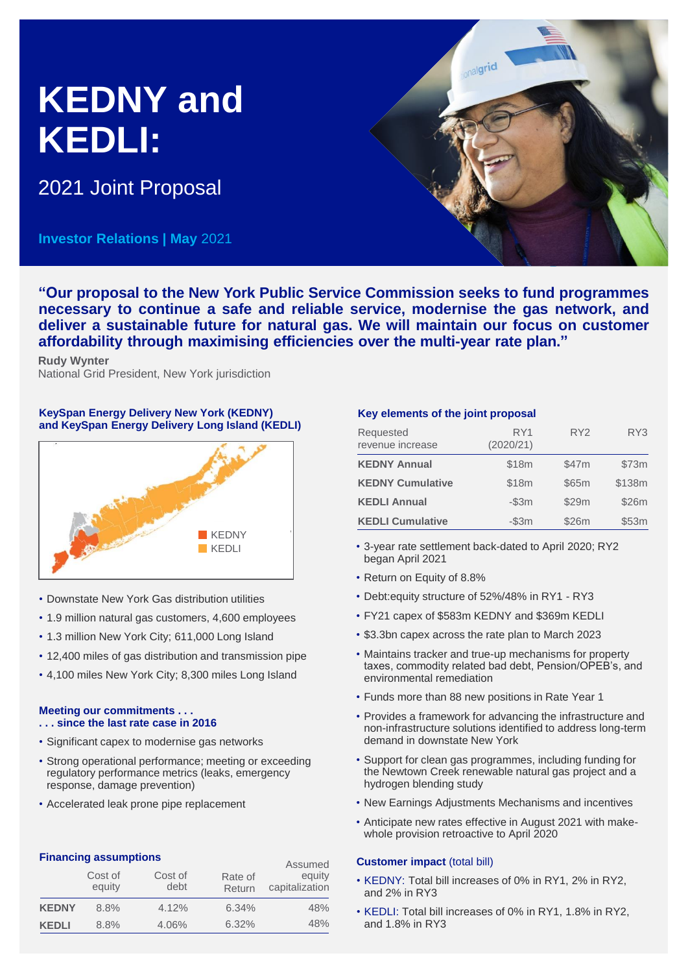# **KEDNY and KEDLI:**

2021 Joint Proposal

**Investor Relations | May** 2021



**Rudy Wynter** National Grid President, New York jurisdiction

# **KeySpan Energy Delivery New York (KEDNY) and KeySpan Energy Delivery Long Island (KEDLI)**



- Downstate New York Gas distribution utilities
- 1.9 million natural gas customers, 4,600 employees
- 1.3 million New York City; 611,000 Long Island
- 12,400 miles of gas distribution and transmission pipe
- 4,100 miles New York City; 8,300 miles Long Island

# **Meeting our commitments . . . . . . since the last rate case in 2016**

- Significant capex to modernise gas networks
- Strong operational performance; meeting or exceeding regulatory performance metrics (leaks, emergency response, damage prevention)
- Accelerated leak prone pipe replacement

# **Financing assumptions**

|              | <b>THE PROPERTY CONTROLLED</b><br>Cost of<br>equity | Cost of<br>debt | Rate of<br>Return | Assumed<br>equity<br>capitalization |
|--------------|-----------------------------------------------------|-----------------|-------------------|-------------------------------------|
| <b>KEDNY</b> | 8.8%                                                | 4.12%           | 6.34%             | 48%                                 |
| <b>KEDLI</b> | 8.8%                                                | 4.06%           | 6.32%             | 48%                                 |

# **Key elements of the joint proposal**

| Requested<br>revenue increase | RY1<br>(2020/21) | RY <sub>2</sub> | RY3    |
|-------------------------------|------------------|-----------------|--------|
| <b>KEDNY Annual</b>           | \$18m            | \$47m           | \$73m  |
| <b>KEDNY Cumulative</b>       | \$18m            | \$65m           | \$138m |
| <b>KEDLI Annual</b>           | $-$ \$3 $m$      | \$29m           | \$26m  |
| <b>KEDLI Cumulative</b>       | $-$ \$3 $m$      | \$26m           | \$53m  |

- 3-year rate settlement back-dated to April 2020; RY2 began April 2021
- Return on Equity of 8.8%
- Debt:equity structure of 52%/48% in RY1 RY3
- FY21 capex of \$583m KEDNY and \$369m KEDLI
- \$3.3bn capex across the rate plan to March 2023
- Maintains tracker and true-up mechanisms for property taxes, commodity related bad debt, Pension/OPEB's, and environmental remediation
- Funds more than 88 new positions in Rate Year 1
- Provides a framework for advancing the infrastructure and non-infrastructure solutions identified to address long-term demand in downstate New York
- Support for clean gas programmes, including funding for the Newtown Creek renewable natural gas project and a hydrogen blending study
- New Earnings Adjustments Mechanisms and incentives
- Anticipate new rates effective in August 2021 with makewhole provision retroactive to April 2020

# **Customer impact** (total bill)

- KEDNY: Total bill increases of 0% in RY1, 2% in RY2, and 2% in RY3
- KEDLI: Total bill increases of 0% in RY1, 1.8% in RY2, and 1.8% in RY3